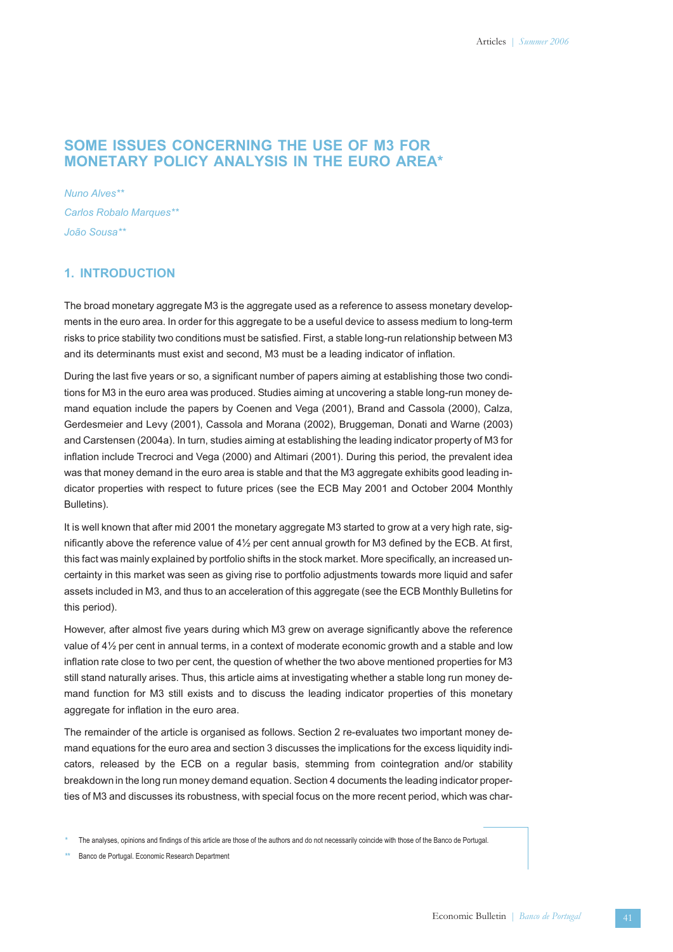## **SOME ISSUES CONCERNING THE USE OF M3 FOR MONETARY POLICY ANALYSIS IN THE EURO AREA\***

*Nuno Alves\*\* Carlos Robalo Marques\*\* João Sousa\*\**

### **1. INTRODUCTION**

The broad monetary aggregate M3 is the aggregate used as a reference to assess monetary developments in the euro area. In order for this aggregate to be a useful device to assess medium to long-term risks to price stability two conditions must be satisfied. First, a stable long-run relationship between M3 and its determinants must exist and second, M3 must be a leading indicator of inflation.

During the last five years or so, a significant number of papers aiming at establishing those two conditions for M3 in the euro area was produced. Studies aiming at uncovering a stable long-run money demand equation include the papers by Coenen and Vega (2001), Brand and Cassola (2000), Calza, Gerdesmeier and Levy (2001), Cassola and Morana (2002), Bruggeman, Donati and Warne (2003) and Carstensen (2004a). In turn, studies aiming at establishing the leading indicator property of M3 for inflation include Trecroci and Vega (2000) and Altimari (2001). During this period, the prevalent idea was that money demand in the euro area is stable and that the M3 aggregate exhibits good leading indicator properties with respect to future prices (see the ECB May 2001 and October 2004 Monthly Bulletins).

It is well known that after mid 2001 the monetary aggregate M3 started to grow at a very high rate, significantly above the reference value of 4½ per cent annual growth for M3 defined by the ECB. At first, this fact was mainly explained by portfolio shifts in the stock market. More specifically, an increased uncertainty in this market was seen as giving rise to portfolio adjustments towards more liquid and safer assets included in M3, and thus to an acceleration of this aggregate (see the ECB Monthly Bulletins for this period).

However, after almost five years during which M3 grew on average significantly above the reference value of 4½ per cent in annual terms, in a context of moderate economic growth and a stable and low inflation rate close to two per cent, the question of whether the two above mentioned properties for M3 still stand naturally arises. Thus, this article aims at investigating whether a stable long run money demand function for M3 still exists and to discuss the leading indicator properties of this monetary aggregate for inflation in the euro area.

The remainder of the article is organised as follows. Section 2 re-evaluates two important money demand equations for the euro area and section 3 discusses the implications for the excess liquidity indicators, released by the ECB on a regular basis, stemming from cointegration and/or stability breakdown in the long run money demand equation. Section 4 documents the leading indicator properties of M3 and discusses its robustness, with special focus on the more recent period, which was char-

**\*\*** Banco de Portugal. Economic Research Department

**<sup>\*</sup>** The analyses, opinions and findings of this article are those of the authors and do not necessarily coincide with those of the Banco de Portugal.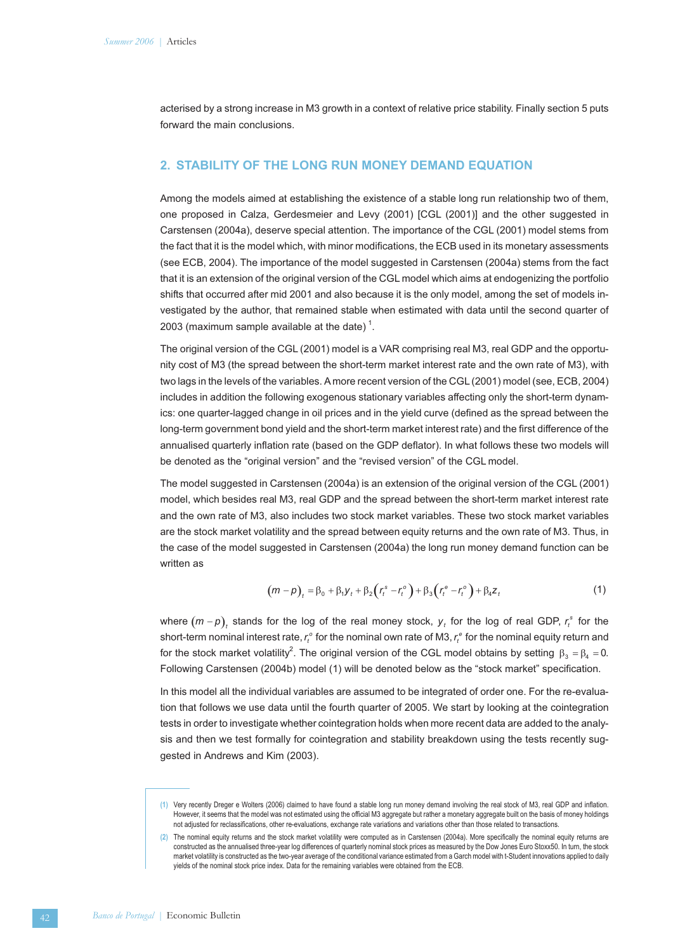acterised by a strong increase in M3 growth in a context of relative price stability. Finally section 5 puts forward the main conclusions.

### **2. STABILITY OF THE LONG RUN MONEY DEMAND EQUATION**

Among the models aimed at establishing the existence of a stable long run relationship two of them, one proposed in Calza, Gerdesmeier and Levy (2001) [CGL (2001)] and the other suggested in Carstensen (2004a), deserve special attention. The importance of the CGL (2001) model stems from the fact that it is the model which, with minor modifications, the ECB used in its monetary assessments (see ECB, 2004). The importance of the model suggested in Carstensen (2004a) stems from the fact that it is an extension of the original version of the CGL model which aims at endogenizing the portfolio shifts that occurred after mid 2001 and also because it is the only model, among the set of models investigated by the author, that remained stable when estimated with data until the second quarter of 2003 (maximum sample available at the date)<sup>1</sup>.

The original version of the CGL (2001) model is a VAR comprising real M3, real GDP and the opportunity cost of M3 (the spread between the short-term market interest rate and the own rate of M3), with two lags in the levels of the variables. A more recent version of the CGL (2001) model (see, ECB, 2004) includes in addition the following exogenous stationary variables affecting only the short-term dynamics: one quarter-lagged change in oil prices and in the yield curve (defined as the spread between the long-term government bond yield and the short-term market interest rate) and the first difference of the annualised quarterly inflation rate (based on the GDP deflator). In what follows these two models will be denoted as the "original version" and the "revised version" of the CGL model.

The model suggested in Carstensen (2004a) is an extension of the original version of the CGL (2001) model, which besides real M3, real GDP and the spread between the short-term market interest rate and the own rate of M3, also includes two stock market variables. These two stock market variables are the stock market volatility and the spread between equity returns and the own rate of M3. Thus, in the case of the model suggested in Carstensen (2004a) the long run money demand function can be written as

$$
(m-p)_t = \beta_0 + \beta_1 y_t + \beta_2 (r_t^s - r_t^o) + \beta_3 (r_t^e - r_t^o) + \beta_4 z_t
$$
 (1)

where  $(m-p)$ <sub>t</sub> stands for the log of the real money stock,  $y$ <sub>t</sub> for the log of real GDP,  $r_t^s$  for the  $s$ hort-term nominal interest rate,  $r_t^o$  for the nominal own rate of M3,  $r_t^e$  for the nominal equity return and for the stock market volatility<sup>2</sup>. The original version of the CGL model obtains by setting  $\beta_3 = \beta_4 = 0$ . Following Carstensen (2004b) model (1) will be denoted below as the "stock market" specification.

In this model all the individual variables are assumed to be integrated of order one. For the re-evaluation that follows we use data until the fourth quarter of 2005. We start by looking at the cointegration tests in order to investigate whether cointegration holds when more recent data are added to the analysis and then we test formally for cointegration and stability breakdown using the tests recently suggested in Andrews and Kim (2003).

**<sup>(1)</sup>** Very recently Dreger e Wolters (2006) claimed to have found a stable long run money demand involving the real stock of M3, real GDP and inflation. However, it seems that the model was not estimated using the official M3 aggregate but rather a monetary aggregate built on the basis of money holdings not adjusted for reclassifications, other re-evaluations, exchange rate variations and variations other than those related to transactions.

**<sup>(2)</sup>** The nominal equity returns and the stock market volatility were computed as in Carstensen (2004a). More specifically the nominal equity returns are constructed as the annualised three-year log differences of quarterly nominal stock prices as measured by the Dow Jones Euro Stoxx50. In turn, the stock market volatility is constructed as the two-year average of the conditional variance estimated from a Garch model with t-Student innovations applied to daily yields of the nominal stock price index. Data for the remaining variables were obtained from the ECB.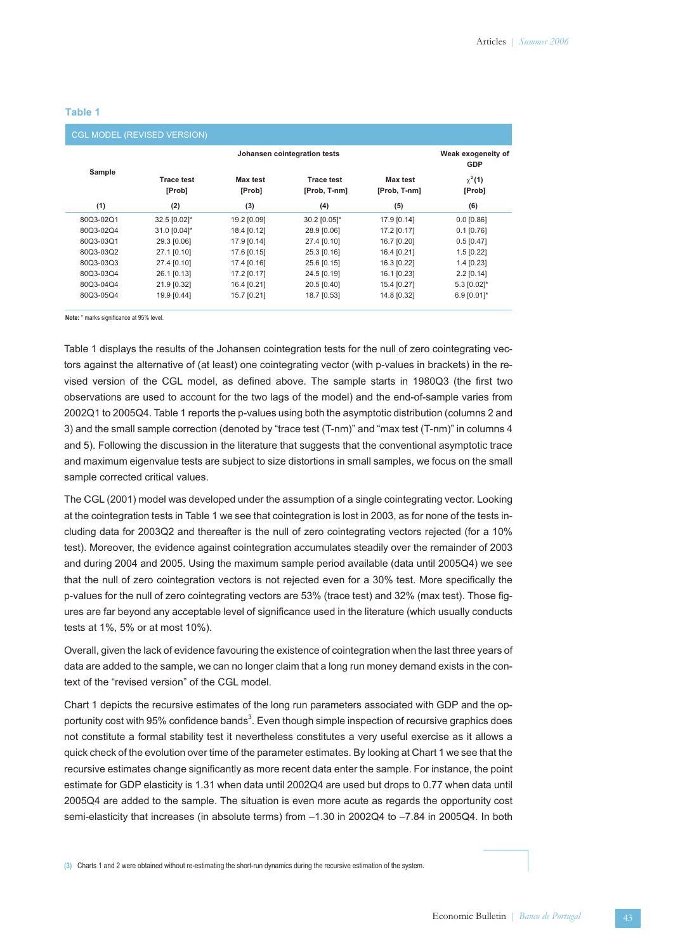### **Table 1**

| <b>CGL MODEL (REVISED VERSION)</b> |                             |                                  |                                   |                                 |                       |  |  |
|------------------------------------|-----------------------------|----------------------------------|-----------------------------------|---------------------------------|-----------------------|--|--|
| Sample                             |                             | Weak exogeneity of<br><b>GDP</b> |                                   |                                 |                       |  |  |
|                                    | <b>Trace test</b><br>[Prob] | Max test<br>[Prob]               | <b>Trace test</b><br>[Prob, T-nm] | <b>Max test</b><br>[Prob, T-nm] | $\chi^2(1)$<br>[Prob] |  |  |
| (1)                                | (2)                         | (3)                              | (4)                               | (5)                             | (6)                   |  |  |
| 80Q3-02Q1                          | 32.5 [0.02]*                | 19.2 [0.09]                      | 30.2 [0.05]*                      | 17.9 [0.14]                     | $0.0$ [0.86]          |  |  |
| 80Q3-02Q4                          | 31.0 [0.04]*                | 18.4 [0.12]                      | 28.9 [0.06]                       | 17.2 [0.17]                     | $0.1$ [0.76]          |  |  |
| 80Q3-03Q1                          | 29.3 [0.06]                 | 17.9 [0.14]                      | 27.4 [0.10]                       | 16.7 [0.20]                     | $0.5$ [0.47]          |  |  |
| 80Q3-03Q2                          | 27.1 [0.10]                 | 17.6 [0.15]                      | 25.3 [0.16]                       | 16.4 [0.21]                     | $1.5$ [0.22]          |  |  |
| 80Q3-03Q3                          | 27.4 [0.10]                 | 17.4 [0.16]                      | 25.6 [0.15]                       | 16.3 [0.22]                     | $1.4$ [0.23]          |  |  |
| 80Q3-03Q4                          | 26.1 [0.13]                 | 17.2 [0.17]                      | 24.5 [0.19]                       | 16.1 [0.23]                     | $2.2$ [0.14]          |  |  |
| 80Q3-04Q4                          | 21.9 [0.32]                 | 16.4 [0.21]                      | 20.5 [0.40]                       | 15.4 [0.27]                     | 5.3 [0.02]*           |  |  |
| 80Q3-05Q4                          | 19.9 [0.44]                 | 15.7 [0.21]                      | 18.7 [0.53]                       | 14.8 [0.32]                     | 6.9 [0.01]*           |  |  |

**Note:** \* marks significance at 95% level.

Table 1 displays the results of the Johansen cointegration tests for the null of zero cointegrating vectors against the alternative of (at least) one cointegrating vector (with p-values in brackets) in the revised version of the CGL model, as defined above. The sample starts in 1980Q3 (the first two observations are used to account for the two lags of the model) and the end-of-sample varies from 2002Q1 to 2005Q4. Table 1 reports the p-values using both the asymptotic distribution (columns 2 and 3) and the small sample correction (denoted by "trace test (T-nm)" and "max test (T-nm)" in columns 4 and 5). Following the discussion in the literature that suggests that the conventional asymptotic trace and maximum eigenvalue tests are subject to size distortions in small samples, we focus on the small sample corrected critical values.

The CGL (2001) model was developed under the assumption of a single cointegrating vector. Looking at the cointegration tests in Table 1 we see that cointegration is lost in 2003, as for none of the tests including data for 2003Q2 and thereafter is the null of zero cointegrating vectors rejected (for a 10% test). Moreover, the evidence against cointegration accumulates steadily over the remainder of 2003 and during 2004 and 2005. Using the maximum sample period available (data until 2005Q4) we see that the null of zero cointegration vectors is not rejected even for a 30% test. More specifically the p-values for the null of zero cointegrating vectors are 53% (trace test) and 32% (max test). Those figures are far beyond any acceptable level of significance used in the literature (which usually conducts tests at 1%, 5% or at most 10%).

Overall, given the lack of evidence favouring the existence of cointegration when the last three years of data are added to the sample, we can no longer claim that a long run money demand exists in the context of the "revised version" of the CGL model.

Chart 1 depicts the recursive estimates of the long run parameters associated with GDP and the opportunity cost with 95% confidence bands<sup>3</sup>. Even though simple inspection of recursive graphics does not constitute a formal stability test it nevertheless constitutes a very useful exercise as it allows a quick check of the evolution over time of the parameter estimates. By looking at Chart 1 we see that the recursive estimates change significantly as more recent data enter the sample. For instance, the point estimate for GDP elasticity is 1.31 when data until 2002Q4 are used but drops to 0.77 when data until 2005Q4 are added to the sample. The situation is even more acute as regards the opportunity cost semi-elasticity that increases (in absolute terms) from –1.30 in 2002Q4 to –7.84 in 2005Q4. In both

**(3)** Charts 1 and 2 were obtained without re-estimating the short-run dynamics during the recursive estimation of the system.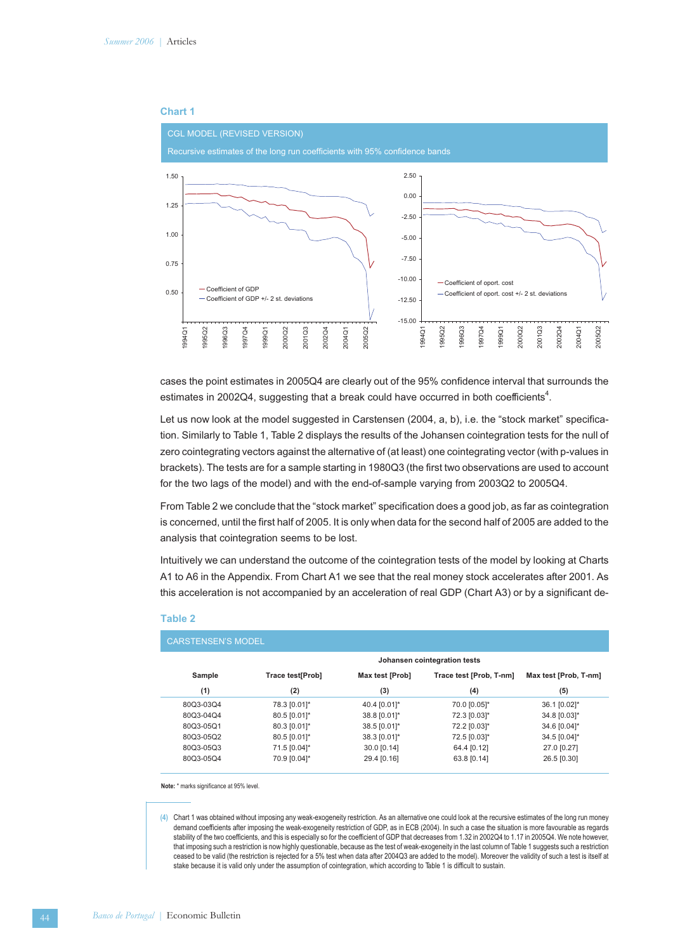

cases the point estimates in 2005Q4 are clearly out of the 95% confidence interval that surrounds the estimates in 2002Q4, suggesting that a break could have occurred in both coefficients<sup>4</sup>.

Let us now look at the model suggested in Carstensen (2004, a, b), i.e. the "stock market" specification. Similarly to Table 1, Table 2 displays the results of the Johansen cointegration tests for the null of zero cointegrating vectors against the alternative of (at least) one cointegrating vector (with p-values in brackets). The tests are for a sample starting in 1980Q3 (the first two observations are used to account for the two lags of the model) and with the end-of-sample varying from 2003Q2 to 2005Q4.

From Table 2 we conclude that the "stock market" specification does a good job, as far as cointegration is concerned, until the first half of 2005. It is only when data for the second half of 2005 are added to the analysis that cointegration seems to be lost.

Intuitively we can understand the outcome of the cointegration tests of the model by looking at Charts A1 to A6 in the Appendix. From Chart A1 we see that the real money stock accelerates after 2001. As this acceleration is not accompanied by an acceleration of real GDP (Chart A3) or by a significant de-

| <b>CARSTENSEN'S MODEL</b> |                              |                 |                         |                       |  |  |  |
|---------------------------|------------------------------|-----------------|-------------------------|-----------------------|--|--|--|
|                           | Johansen cointegration tests |                 |                         |                       |  |  |  |
| Sample                    | Trace test[Prob]             | Max test [Prob] | Trace test [Prob, T-nm] | Max test [Prob, T-nm] |  |  |  |
| (1)                       | (2)                          | (3)             | (4)                     | (5)                   |  |  |  |
| 80Q3-03Q4                 | 78.3 [0.01]*                 | 40.4 [0.01]*    | 70.0 [0.05]*            | 36.1 [0.02]*          |  |  |  |
| 80Q3-04Q4                 | 80.5 [0.01]*                 | 38.8 [0.01]*    | 72.3 [0.03]*            | 34.8 [0.03]*          |  |  |  |
| 80Q3-05Q1                 | 80.3 [0.01]*                 | 38.5 [0.01]*    | 72.2 [0.03]*            | 34.6 [0.04]*          |  |  |  |
| 80Q3-05Q2                 | 80.5 [0.01]*                 | 38.3 [0.01]*    | 72.5 [0.03]*            | 34.5 [0.04]*          |  |  |  |
| 80Q3-05Q3                 | 71.5 [0.04]*                 | 30.0 [0.14]     | 64.4 [0.12]             | 27.0 [0.27]           |  |  |  |
| 80Q3-05Q4                 | 70.9 [0.04]*                 | 29.4 [0.16]     | 63.8 [0.14]             | 26.5 [0.30]           |  |  |  |

#### **Table 2**

**Note:** \* marks significance at 95% level.

**(4)** Chart 1 was obtained without imposing any weak-exogeneity restriction. As an alternative one could look at the recursive estimates of the long run money demand coefficients after imposing the weak-exogeneity restriction of GDP, as in ECB (2004). In such a case the situation is more favourable as regards stability of the two coefficients, and this is especially so for the coefficient of GDP that decreases from 1.32 in 2002Q4 to 1.17 in 2005Q4. We note however, that imposing such a restriction is now highly questionable, because as the test of weak-exogeneity in the last column of Table 1 suggests such a restriction ceased to be valid (the restriction is rejected for a 5% test when data after 2004Q3 are added to the model). Moreover the validity of such a test is itself at stake because it is valid only under the assumption of cointegration, which according to Table 1 is difficult to sustain.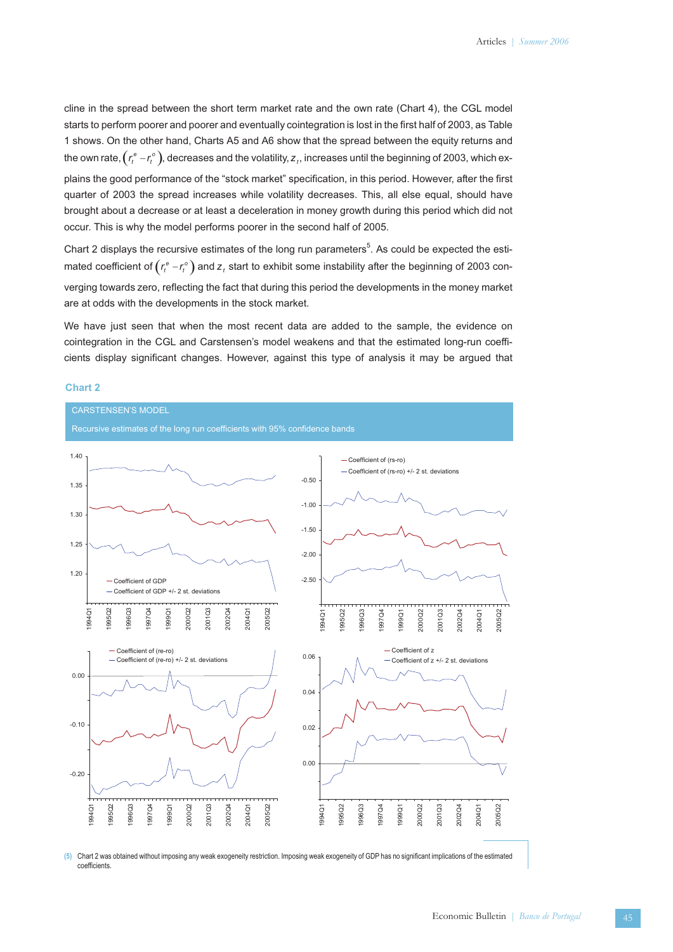cline in the spread between the short term market rate and the own rate (Chart 4), the CGL model starts to perform poorer and poorer and eventually cointegration is lost in the first half of 2003, as Table 1 shows. On the other hand, Charts A5 and A6 show that the spread between the equity returns and the own rate,  $\left(r^e_t - r^o_t\right)$ , decreases and the volatility,  $z_t$ , increases until the beginning of 2003, which ex-

plains the good performance of the "stock market" specification, in this period. However, after the first quarter of 2003 the spread increases while volatility decreases. This, all else equal, should have brought about a decrease or at least a deceleration in money growth during this period which did not occur. This is why the model performs poorer in the second half of 2005.

Chart 2 displays the recursive estimates of the long run parameters<sup>5</sup>. As could be expected the estimated coefficient of  $\left(r^e_t - r^o_t\right)$  and  $z_t$  start to exhibit some instability after the beginning of 2003 converging towards zero, reflecting the fact that during this period the developments in the money market are at odds with the developments in the stock market.

We have just seen that when the most recent data are added to the sample, the evidence on cointegration in the CGL and Carstensen's model weakens and that the estimated long-run coefficients display significant changes. However, against this type of analysis it may be argued that

#### **Chart 2**



**(5)** Chart 2 was obtained without imposing any weak exogeneity restriction. Imposing weak exogeneity of GDP has no significant implications of the estimated coefficients.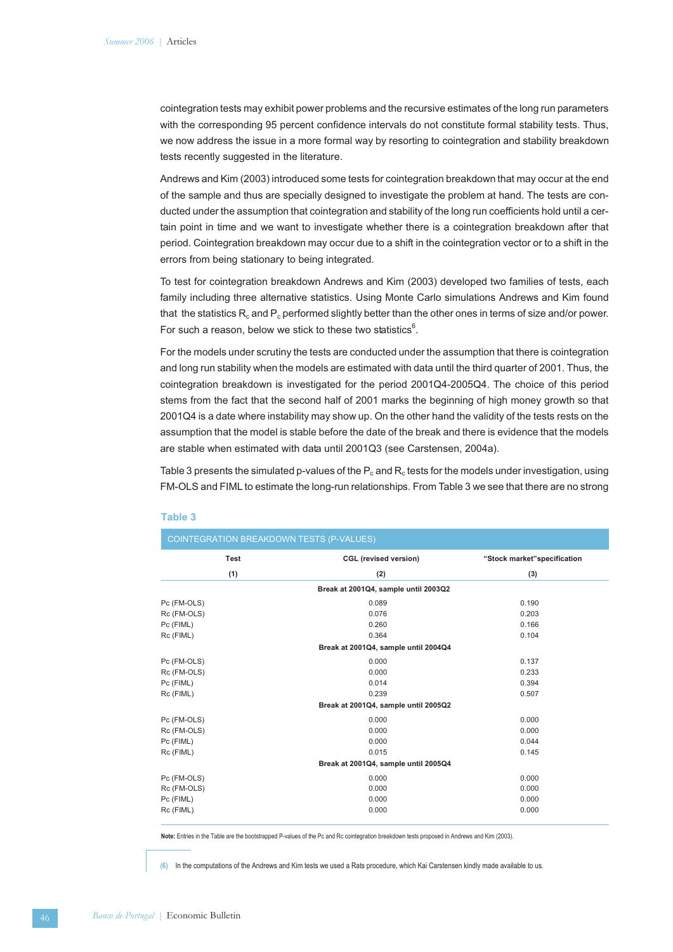cointegration tests may exhibit power problems and the recursive estimates of the long run parameters with the corresponding 95 percent confidence intervals do not constitute formal stability tests. Thus, we now address the issue in a more formal way by resorting to cointegration and stability breakdown tests recently suggested in the literature.

Andrews and Kim (2003) introduced some tests for cointegration breakdown that may occur at the end of the sample and thus are specially designed to investigate the problem at hand. The tests are conducted under the assumption that cointegration and stability of the long run coefficients hold until a certain point in time and we want to investigate whether there is a cointegration breakdown after that period. Cointegration breakdown may occur due to a shift in the cointegration vector or to a shift in the errors from being stationary to being integrated.

To test for cointegration breakdown Andrews and Kim (2003) developed two families of tests, each family including three alternative statistics. Using Monte Carlo simulations Andrews and Kim found that the statistics  $R_c$  and  $P_c$  performed slightly better than the other ones in terms of size and/or power. For such a reason, below we stick to these two statistics $6$ .

For the models under scrutiny the tests are conducted under the assumption that there is cointegration and long run stability when the models are estimated with data until the third quarter of 2001. Thus, the cointegration breakdown is investigated for the period 2001Q4-2005Q4. The choice of this period stems from the fact that the second half of 2001 marks the beginning of high money growth so that 2001Q4 is a date where instability may show up. On the other hand the validity of the tests rests on the assumption that the model is stable before the date of the break and there is evidence that the models are stable when estimated with data until 2001Q3 (see Carstensen, 2004a).

Table 3 presents the simulated p-values of the  $P_c$  and  $R_c$  tests for the models under investigation, using FM-OLS and FIML to estimate the long-run relationships. From Table 3 we see that there are no strong

| COINTEGRATION BREAKDOWN TESTS (P-VALUES) |                                      |                             |  |  |  |  |
|------------------------------------------|--------------------------------------|-----------------------------|--|--|--|--|
| <b>Test</b>                              | <b>CGL</b> (revised version)         | "Stock market"specification |  |  |  |  |
| (1)                                      | (2)                                  | (3)                         |  |  |  |  |
|                                          | Break at 2001Q4, sample until 2003Q2 |                             |  |  |  |  |
| Pc (FM-OLS)                              | 0.089                                | 0.190                       |  |  |  |  |
| Rc (FM-OLS)                              | 0.076                                | 0.203                       |  |  |  |  |
| Pc (FIML)                                | 0.260                                | 0.166                       |  |  |  |  |
| Rc (FIML)                                | 0.364                                | 0.104                       |  |  |  |  |
| Break at 2001Q4, sample until 2004Q4     |                                      |                             |  |  |  |  |
| Pc (FM-OLS)                              | 0.000                                | 0.137                       |  |  |  |  |
| Rc (FM-OLS)                              | 0.000                                | 0.233                       |  |  |  |  |
| Pc (FIML)                                | 0.014                                | 0.394                       |  |  |  |  |
| Rc (FIML)                                | 0.239                                | 0.507                       |  |  |  |  |
|                                          | Break at 2001Q4, sample until 2005Q2 |                             |  |  |  |  |
| Pc (FM-OLS)                              | 0.000                                | 0.000                       |  |  |  |  |
| Rc (FM-OLS)                              | 0.000                                | 0.000                       |  |  |  |  |
| Pc (FIML)                                | 0.000                                | 0.044                       |  |  |  |  |
| Rc (FIML)                                | 0.015                                | 0.145                       |  |  |  |  |
|                                          | Break at 2001Q4, sample until 2005Q4 |                             |  |  |  |  |
| Pc (FM-OLS)                              | 0.000                                | 0.000                       |  |  |  |  |
| Rc (FM-OLS)                              | 0.000                                | 0.000                       |  |  |  |  |
| Pc (FIML)                                | 0.000                                | 0.000                       |  |  |  |  |
| Rc (FIML)                                | 0.000                                | 0.000                       |  |  |  |  |

#### **Table 3**

**Note:** Entries in the Table are the bootstrapped P-values of the Pc and Rc cointegration breakdown tests proposed in Andrews and Kim (2003).

**(6)** In the computations of the Andrews and Kim tests we used a Rats procedure, which Kai Carstensen kindly made available to us.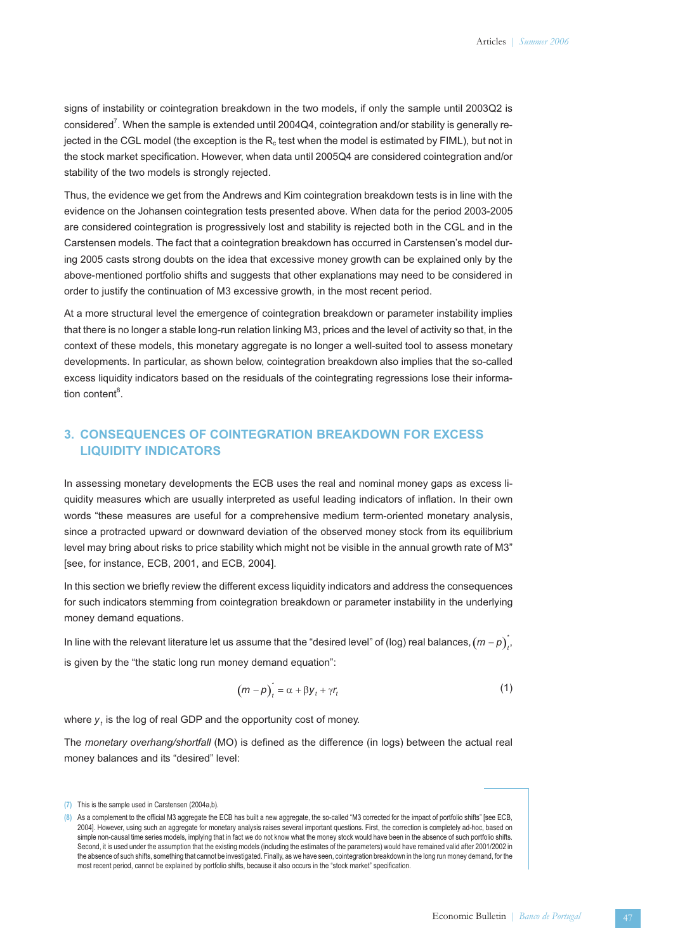signs of instability or cointegration breakdown in the two models, if only the sample until 2003Q2 is considered $^7$ . When the sample is extended until 2004Q4, cointegration and/or stability is generally rejected in the CGL model (the exception is the  $R_c$  test when the model is estimated by FIML), but not in the stock market specification. However, when data until 2005Q4 are considered cointegration and/or stability of the two models is strongly rejected.

Thus, the evidence we get from the Andrews and Kim cointegration breakdown tests is in line with the evidence on the Johansen cointegration tests presented above. When data for the period 2003-2005 are considered cointegration is progressively lost and stability is rejected both in the CGL and in the Carstensen models. The fact that a cointegration breakdown has occurred in Carstensen's model during 2005 casts strong doubts on the idea that excessive money growth can be explained only by the above-mentioned portfolio shifts and suggests that other explanations may need to be considered in order to justify the continuation of M3 excessive growth, in the most recent period.

At a more structural level the emergence of cointegration breakdown or parameter instability implies that there is no longer a stable long-run relation linking M3, prices and the level of activity so that, in the context of these models, this monetary aggregate is no longer a well-suited tool to assess monetary developments. In particular, as shown below, cointegration breakdown also implies that the so-called excess liquidity indicators based on the residuals of the cointegrating regressions lose their information content<sup>8</sup>.

## **3. CONSEQUENCES OF COINTEGRATION BREAKDOWN FOR EXCESS LIQUIDITY INDICATORS**

In assessing monetary developments the ECB uses the real and nominal money gaps as excess liquidity measures which are usually interpreted as useful leading indicators of inflation. In their own words "these measures are useful for a comprehensive medium term-oriented monetary analysis, since a protracted upward or downward deviation of the observed money stock from its equilibrium level may bring about risks to price stability which might not be visible in the annual growth rate of M3" [see, for instance, ECB, 2001, and ECB, 2004].

In this section we briefly review the different excess liquidity indicators and address the consequences for such indicators stemming from cointegration breakdown or parameter instability in the underlying money demand equations.

In line with the relevant literature let us assume that the "desired level" of (log) real balances,  $(m-p)_{t'}^*$ is given by the "the static long run money demand equation":

$$
(m-p)t* = \alpha + \beta y_t + \gamma r_t
$$
 (1)

where  $y_t$  is the log of real GDP and the opportunity cost of money.

The *monetary overhang/shortfall* (MO) is defined as the difference (in logs) between the actual real money balances and its "desired" level:

**<sup>(7)</sup>** This is the sample used in Carstensen (2004a,b).

**<sup>(8)</sup>** As a complement to the official M3 aggregate the ECB has built a new aggregate, the so-called "M3 corrected for the impact of portfolio shifts" [see ECB, 2004]. However, using such an aggregate for monetary analysis raises several important questions. First, the correction is completely ad-hoc, based on simple non-causal time series models, implying that in fact we do not know what the money stock would have been in the absence of such portfolio shifts. Second, it is used under the assumption that the existing models (including the estimates of the parameters) would have remained valid after 2001/2002 in the absence of such shifts, something that cannot be investigated. Finally, as we have seen, cointegration breakdown in the long run money demand, for the most recent period, cannot be explained by portfolio shifts, because it also occurs in the "stock market" specification.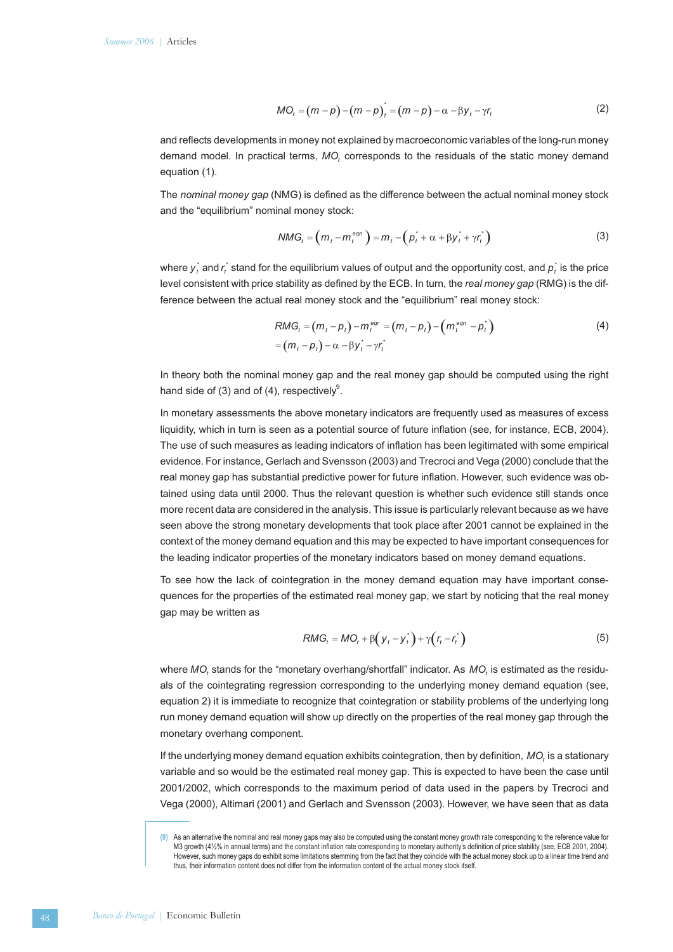$$
MO_{t} = (m - p) - (m - p)_{t}^{*} = (m - p) - \alpha - \beta y_{t} - \gamma r_{t}
$$
 (2)

and reflects developments in money not explained by macroeconomic variables of the long-run money demand model. In practical terms, MO, corresponds to the residuals of the static money demand equation (1).

The *nominal money gap* (NMG) is defined as the difference between the actual nominal money stock and the "equilibrium" nominal money stock:

$$
NMG_t = \left(m_t - m_t^{eqn}\right) = m_t - \left(p_t^* + \alpha + \beta y_t^* + \gamma r_t^*\right)
$$
\n(3)

where  $y_t^*$  and  $r_t^*$  stand for the equilibrium values of output and the opportunity cost, and  $\rho_t^*$  is the price level consistent with price stability as defined by the ECB. In turn, the *real money gap* (RMG) is the difference between the actual real money stock and the "equilibrium" real money stock:

$$
RMG_t = (m_t - p_t) - m_t^{eqr} = (m_t - p_t) - (m_t^{eqr} - p_t^{*})
$$
  
=  $(m_t - p_t) - \alpha - \beta y_t^{*} - \gamma r_t^{*}$  (4)

In theory both the nominal money gap and the real money gap should be computed using the right hand side of (3) and of (4), respectively $9$ .

In monetary assessments the above monetary indicators are frequently used as measures of excess liquidity, which in turn is seen as a potential source of future inflation (see, for instance, ECB, 2004). The use of such measures as leading indicators of inflation has been legitimated with some empirical evidence. For instance, Gerlach and Svensson (2003) and Trecroci and Vega (2000) conclude that the real money gap has substantial predictive power for future inflation. However, such evidence was obtained using data until 2000. Thus the relevant question is whether such evidence still stands once more recent data are considered in the analysis. This issue is particularly relevant because as we have seen above the strong monetary developments that took place after 2001 cannot be explained in the context of the money demand equation and this may be expected to have important consequences for the leading indicator properties of the monetary indicators based on money demand equations.

To see how the lack of cointegration in the money demand equation may have important consequences for the properties of the estimated real money gap, we start by noticing that the real money gap may be written as

$$
RMG_t = MO_t + \beta \left( y_t - y_t^* \right) + \gamma \left( r_t - r_t^* \right) \tag{5}
$$

where *MO*, stands for the "monetary overhang/shortfall" indicator. As *MO*, is estimated as the residuals of the cointegrating regression corresponding to the underlying money demand equation (see, equation 2) it is immediate to recognize that cointegration or stability problems of the underlying long run money demand equation will show up directly on the properties of the real money gap through the monetary overhang component.

If the underlying money demand equation exhibits cointegration, then by definition, *MO*, is a stationary variable and so would be the estimated real money gap. This is expected to have been the case until 2001/2002, which corresponds to the maximum period of data used in the papers by Trecroci and Vega (2000), Altimari (2001) and Gerlach and Svensson (2003). However, we have seen that as data

**<sup>(9)</sup>** As an alternative the nominal and real money gaps may also be computed using the constant money growth rate corresponding to the reference value for M3 growth (4½% in annual terms) and the constant inflation rate corresponding to monetary authority's definition of price stability (see, ECB 2001, 2004). However, such money gaps do exhibit some limitations stemming from the fact that they coincide with the actual money stock up to a linear time trend and thus, their information content does not differ from the information content of the actual money stock itself.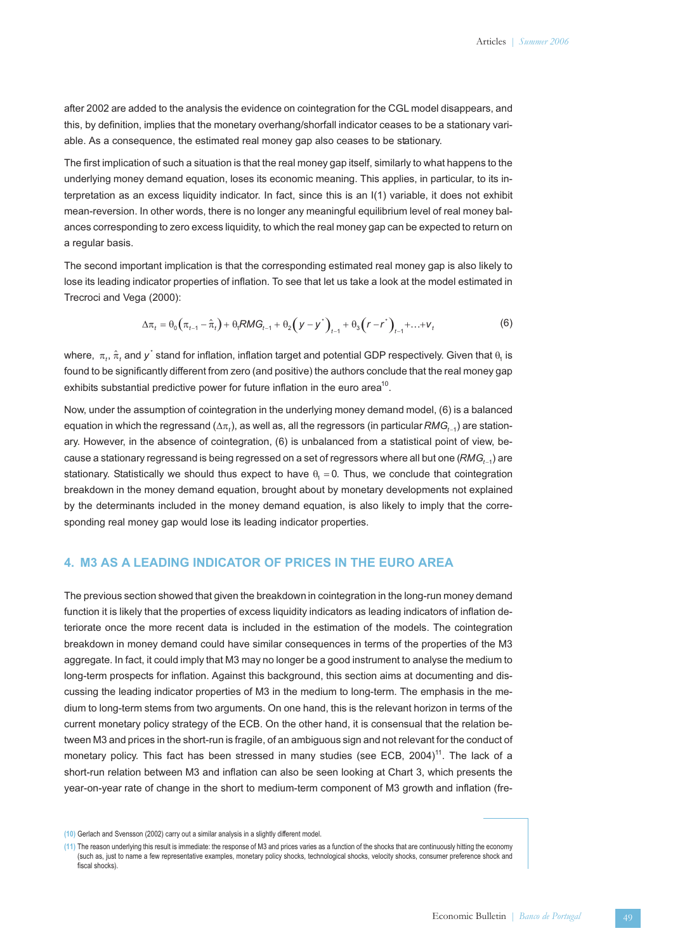after 2002 are added to the analysis the evidence on cointegration for the CGL model disappears, and this, by definition, implies that the monetary overhang/shorfall indicator ceases to be a stationary variable. As a consequence, the estimated real money gap also ceases to be stationary.

The first implication of such a situation is that the real money gap itself, similarly to what happens to the underlying money demand equation, loses its economic meaning. This applies, in particular, to its interpretation as an excess liquidity indicator. In fact, since this is an I(1) variable, it does not exhibit mean-reversion. In other words, there is no longer any meaningful equilibrium level of real money balances corresponding to zero excess liquidity, to which the real money gap can be expected to return on a regular basis.

The second important implication is that the corresponding estimated real money gap is also likely to lose its leading indicator properties of inflation. To see that let us take a look at the model estimated in Trecroci and Vega (2000):

$$
\Delta \pi_t = \theta_0 \Big( \pi_{t-1} - \hat{\pi}_t \Big) + \theta_t R M G_{t-1} + \theta_2 \Big( y - y^* \Big)_{t-1} + \theta_3 \Big( r - r^* \Big)_{t-1} + \ldots + v_t \tag{6}
$$

 $\Delta \pi_t = \theta_0 \left( \pi_{t-1} - \hat{\pi}_t \right) + \theta_t RM G_{t-1} + \theta_2 \left( y - y^* \right)_{t-1} + \theta_3 \left( r - r^* \right)_{t-1} + \dots + v_t$  (6)<br>where,  $\pi_t$ ,  $\hat{\pi}_t$  and  $y^*$  stand for inflation, inflation target and potential GDP respectively. Given that  $\theta_1$  is found to be significantly different from zero (and positive) the authors conclude that the real money gap exhibits substantial predictive power for future inflation in the euro area<sup>10</sup>.

Now, under the assumption of cointegration in the underlying money demand model, (6) is a balanced equation in which the regressand ( $\Delta\pi_t$ ), as well as, all the regressors (in particular  ${\sf RMG}_{t-1}$ ) are stationary. However, in the absence of cointegration, (6) is unbalanced from a statistical point of view, because a stationary regressand is being regressed on a set of regressors where all but one (RMG,  $_1$ ) are stationary. Statistically we should thus expect to have  $\theta_1 = 0$ . Thus, we conclude that cointegration breakdown in the money demand equation, brought about by monetary developments not explained by the determinants included in the money demand equation, is also likely to imply that the corresponding real money gap would lose its leading indicator properties.

### **4. M3 AS A LEADING INDICATOR OF PRICES IN THE EURO AREA**

The previous section showed that given the breakdown in cointegration in the long-run money demand function it is likely that the properties of excess liquidity indicators as leading indicators of inflation deteriorate once the more recent data is included in the estimation of the models. The cointegration breakdown in money demand could have similar consequences in terms of the properties of the M3 aggregate. In fact, it could imply that M3 may no longer be a good instrument to analyse the medium to long-term prospects for inflation. Against this background, this section aims at documenting and discussing the leading indicator properties of M3 in the medium to long-term. The emphasis in the medium to long-term stems from two arguments. On one hand, this is the relevant horizon in terms of the current monetary policy strategy of the ECB. On the other hand, it is consensual that the relation between M3 and prices in the short-run is fragile, of an ambiguous sign and not relevant for the conduct of monetary policy. This fact has been stressed in many studies (see ECB, 2004)<sup>11</sup>. The lack of a short-run relation between M3 and inflation can also be seen looking at Chart 3, which presents the year-on-year rate of change in the short to medium-term component of M3 growth and inflation (fre-

**<sup>(10)</sup>** Gerlach and Svensson (2002) carry out a similar analysis in a slightly different model.

**<sup>(11)</sup>** The reason underlying this result is immediate: the response of M3 and prices varies as a function of the shocks that are continuously hitting the economy (such as, just to name a few representative examples, monetary policy shocks, technological shocks, velocity shocks, consumer preference shock and fiscal shocks).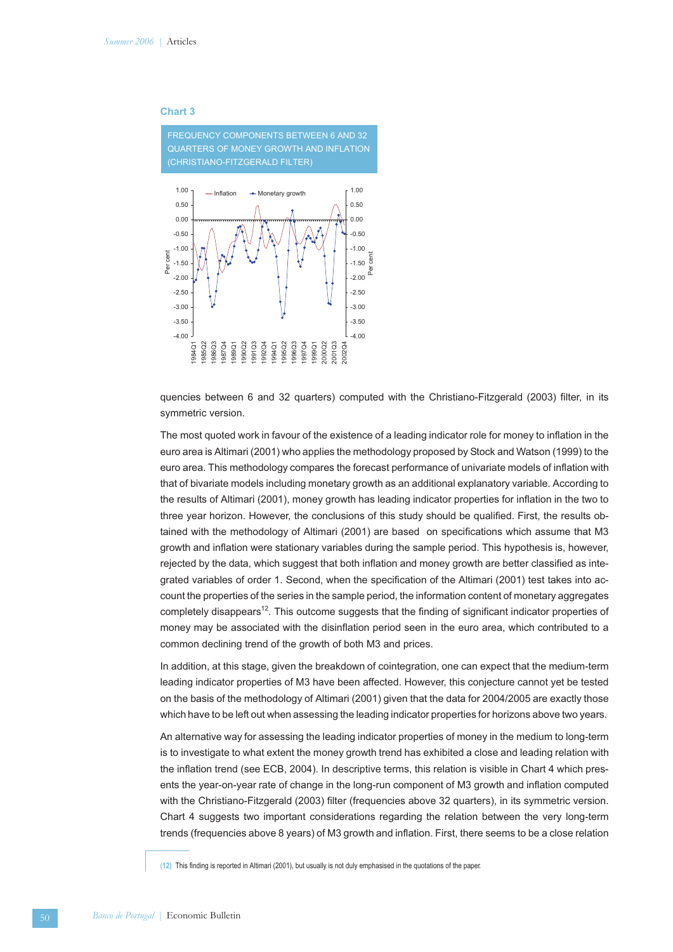#### **Chart 3**



quencies between 6 and 32 quarters) computed with the Christiano-Fitzgerald (2003) filter, in its symmetric version.

The most quoted work in favour of the existence of a leading indicator role for money to inflation in the euro area is Altimari (2001) who applies the methodology proposed by Stock and Watson (1999) to the euro area. This methodology compares the forecast performance of univariate models of inflation with that of bivariate models including monetary growth as an additional explanatory variable. According to the results of Altimari (2001), money growth has leading indicator properties for inflation in the two to three year horizon. However, the conclusions of this study should be qualified. First, the results obtained with the methodology of Altimari (2001) are based on specifications which assume that M3 growth and inflation were stationary variables during the sample period. This hypothesis is, however, rejected by the data, which suggest that both inflation and money growth are better classified as integrated variables of order 1. Second, when the specification of the Altimari (2001) test takes into account the properties of the series in the sample period, the information content of monetary aggregates completely disappears<sup>12</sup>. This outcome suggests that the finding of significant indicator properties of money may be associated with the disinflation period seen in the euro area, which contributed to a common declining trend of the growth of both M3 and prices.

In addition, at this stage, given the breakdown of cointegration, one can expect that the medium-term leading indicator properties of M3 have been affected. However, this conjecture cannot yet be tested on the basis of the methodology of Altimari (2001) given that the data for 2004/2005 are exactly those which have to be left out when assessing the leading indicator properties for horizons above two years.

An alternative way for assessing the leading indicator properties of money in the medium to long-term is to investigate to what extent the money growth trend has exhibited a close and leading relation with the inflation trend (see ECB, 2004). In descriptive terms, this relation is visible in Chart 4 which presents the year-on-year rate of change in the long-run component of M3 growth and inflation computed with the Christiano-Fitzgerald (2003) filter (frequencies above 32 quarters), in its symmetric version. Chart 4 suggests two important considerations regarding the relation between the very long-term trends (frequencies above 8 years) of M3 growth and inflation. First, there seems to be a close relation

**(12)** This finding is reported in Altimari (2001), but usually is not duly emphasised in the quotations of the paper.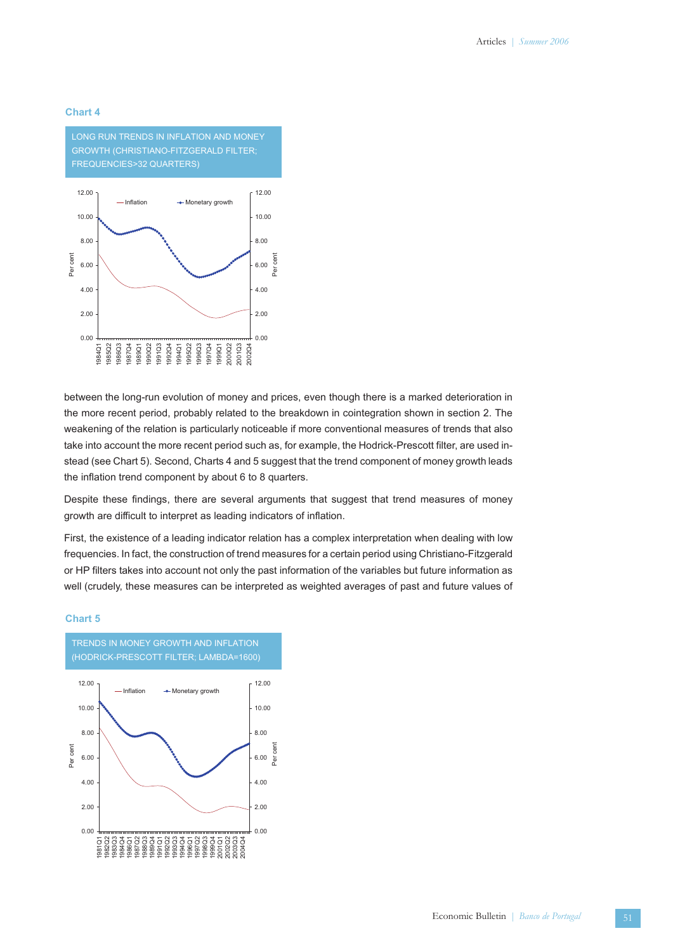### **Chart 4**



between the long-run evolution of money and prices, even though there is a marked deterioration in the more recent period, probably related to the breakdown in cointegration shown in section 2. The weakening of the relation is particularly noticeable if more conventional measures of trends that also take into account the more recent period such as, for example, the Hodrick-Prescott filter, are used instead (see Chart 5). Second, Charts 4 and 5 suggest that the trend component of money growth leads the inflation trend component by about 6 to 8 quarters.

Despite these findings, there are several arguments that suggest that trend measures of money growth are difficult to interpret as leading indicators of inflation.

First, the existence of a leading indicator relation has a complex interpretation when dealing with low frequencies. In fact, the construction of trend measures for a certain period using Christiano-Fitzgerald or HP filters takes into account not only the past information of the variables but future information as well (crudely, these measures can be interpreted as weighted averages of past and future values of

#### **Chart 5**



Economic Bulletin *| Banco de Portugal*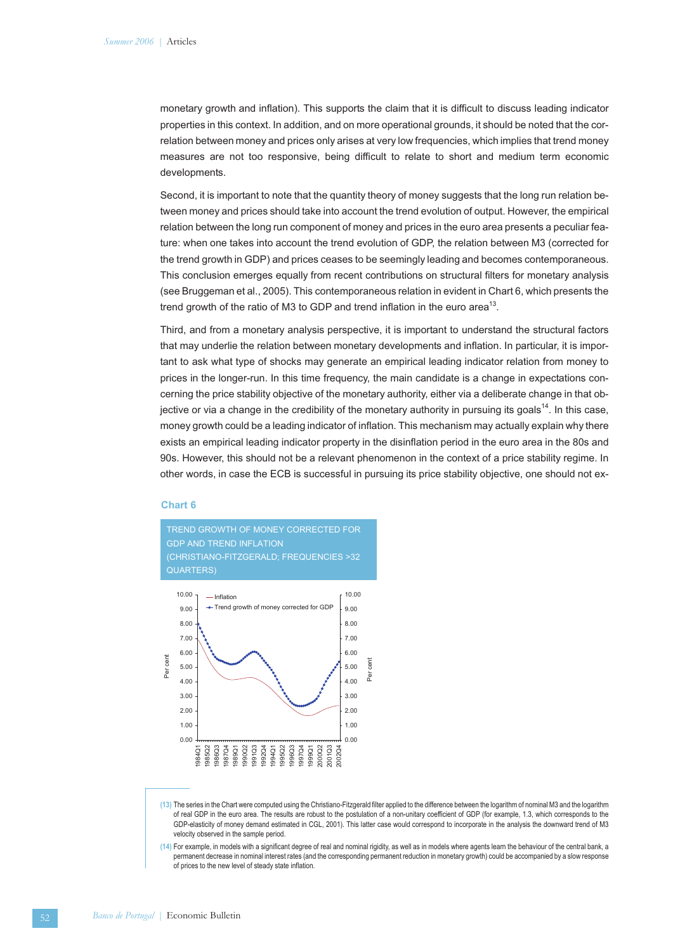monetary growth and inflation). This supports the claim that it is difficult to discuss leading indicator properties in this context. In addition, and on more operational grounds, it should be noted that the correlation between money and prices only arises at very low frequencies, which implies that trend money measures are not too responsive, being difficult to relate to short and medium term economic developments.

Second, it is important to note that the quantity theory of money suggests that the long run relation between money and prices should take into account the trend evolution of output. However, the empirical relation between the long run component of money and prices in the euro area presents a peculiar feature: when one takes into account the trend evolution of GDP, the relation between M3 (corrected for the trend growth in GDP) and prices ceases to be seemingly leading and becomes contemporaneous. This conclusion emerges equally from recent contributions on structural filters for monetary analysis (see Bruggeman et al., 2005). This contemporaneous relation in evident in Chart 6, which presents the trend growth of the ratio of M3 to GDP and trend inflation in the euro area<sup>13</sup>.

Third, and from a monetary analysis perspective, it is important to understand the structural factors that may underlie the relation between monetary developments and inflation. In particular, it is important to ask what type of shocks may generate an empirical leading indicator relation from money to prices in the longer-run. In this time frequency, the main candidate is a change in expectations concerning the price stability objective of the monetary authority, either via a deliberate change in that objective or via a change in the credibility of the monetary authority in pursuing its goals<sup>14</sup>. In this case, money growth could be a leading indicator of inflation. This mechanism may actually explain why there exists an empirical leading indicator property in the disinflation period in the euro area in the 80s and 90s. However, this should not be a relevant phenomenon in the context of a price stability regime. In other words, in case the ECB is successful in pursuing its price stability objective, one should not ex-

### **Chart 6**





**(13)** The series in the Chart were computed using the Christiano-Fitzgerald filter applied to the difference between the logarithm of nominal M3 and the logarithm of real GDP in the euro area. The results are robust to the postulation of a non-unitary coefficient of GDP (for example, 1.3, which corresponds to the GDP-elasticity of money demand estimated in CGL, 2001). This latter case would correspond to incorporate in the analysis the downward trend of M3 velocity observed in the sample period.

**(14)** For example, in models with a significant degree of real and nominal rigidity, as well as in models where agents learn the behaviour of the central bank, a permanent decrease in nominal interest rates (and the corresponding permanent reduction in monetary growth) could be accompanied by a slow response of prices to the new level of steady state inflation.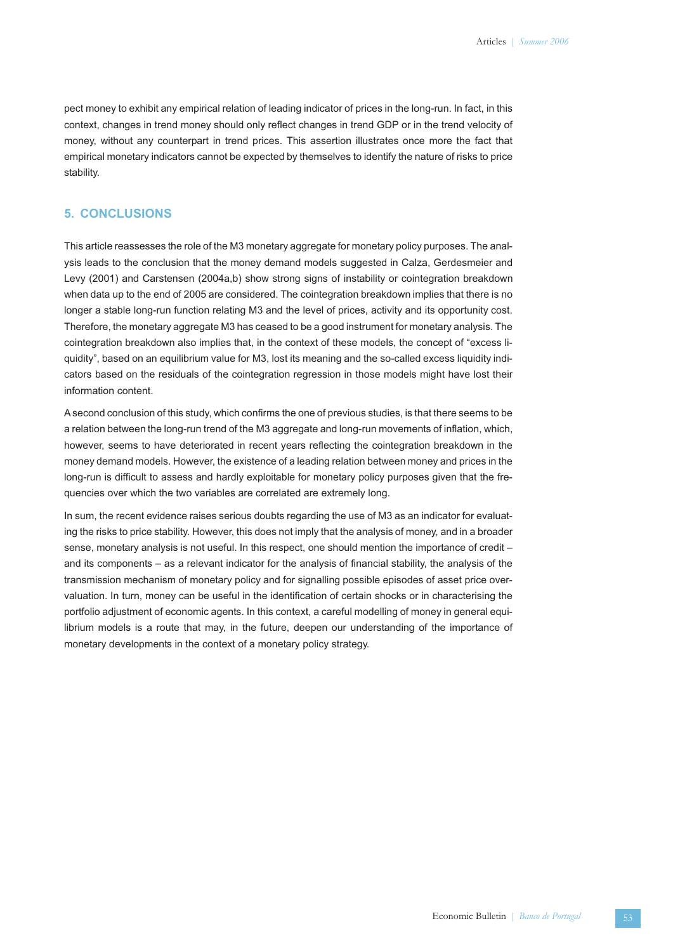pect money to exhibit any empirical relation of leading indicator of prices in the long-run. In fact, in this context, changes in trend money should only reflect changes in trend GDP or in the trend velocity of money, without any counterpart in trend prices. This assertion illustrates once more the fact that empirical monetary indicators cannot be expected by themselves to identify the nature of risks to price stability.

### **5. CONCLUSIONS**

This article reassesses the role of the M3 monetary aggregate for monetary policy purposes. The analysis leads to the conclusion that the money demand models suggested in Calza, Gerdesmeier and Levy (2001) and Carstensen (2004a,b) show strong signs of instability or cointegration breakdown when data up to the end of 2005 are considered. The cointegration breakdown implies that there is no longer a stable long-run function relating M3 and the level of prices, activity and its opportunity cost. Therefore, the monetary aggregate M3 has ceased to be a good instrument for monetary analysis. The cointegration breakdown also implies that, in the context of these models, the concept of "excess liquidity", based on an equilibrium value for M3, lost its meaning and the so-called excess liquidity indicators based on the residuals of the cointegration regression in those models might have lost their information content.

A second conclusion of this study, which confirms the one of previous studies, is that there seems to be a relation between the long-run trend of the M3 aggregate and long-run movements of inflation, which, however, seems to have deteriorated in recent years reflecting the cointegration breakdown in the money demand models. However, the existence of a leading relation between money and prices in the long-run is difficult to assess and hardly exploitable for monetary policy purposes given that the frequencies over which the two variables are correlated are extremely long.

In sum, the recent evidence raises serious doubts regarding the use of M3 as an indicator for evaluating the risks to price stability. However, this does not imply that the analysis of money, and in a broader sense, monetary analysis is not useful. In this respect, one should mention the importance of credit – and its components – as a relevant indicator for the analysis of financial stability, the analysis of the transmission mechanism of monetary policy and for signalling possible episodes of asset price overvaluation. In turn, money can be useful in the identification of certain shocks or in characterising the portfolio adjustment of economic agents. In this context, a careful modelling of money in general equilibrium models is a route that may, in the future, deepen our understanding of the importance of monetary developments in the context of a monetary policy strategy.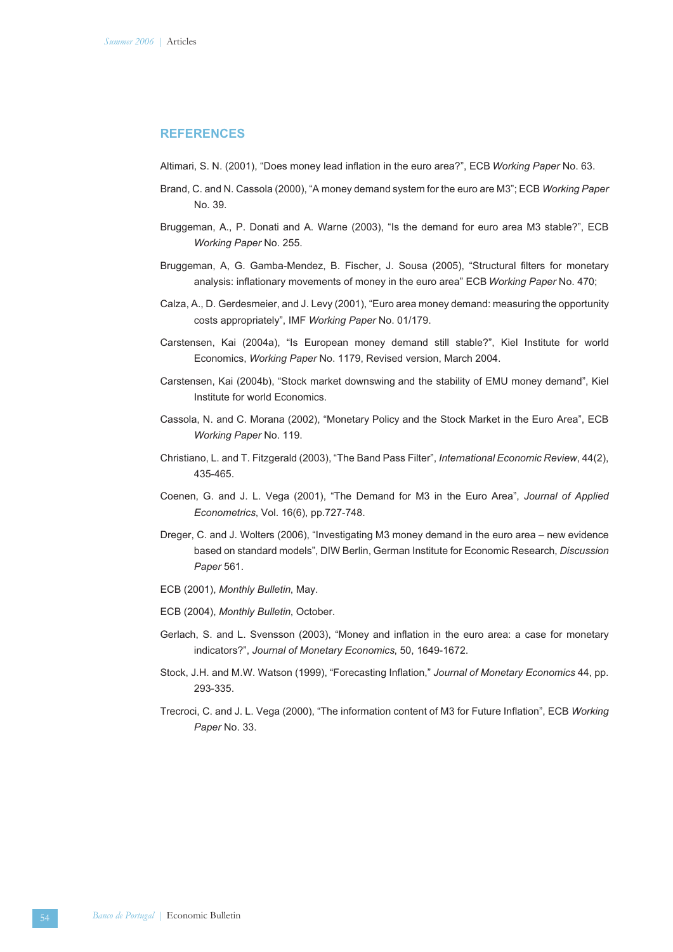### **REFERENCES**

Altimari, S. N. (2001), "Does money lead inflation in the euro area?", ECB *Working Paper* No. 63.

- Brand, C. and N. Cassola (2000), "A money demand system for the euro are M3"; ECB *Working Paper* No. 39.
- Bruggeman, A., P. Donati and A. Warne (2003), "Is the demand for euro area M3 stable?", ECB *Working Paper* No. 255.
- Bruggeman, A, G. Gamba-Mendez, B. Fischer, J. Sousa (2005), "Structural filters for monetary analysis: inflationary movements of money in the euro area" ECB *Working Paper* No. 470;
- Calza, A., D. Gerdesmeier, and J. Levy (2001), "Euro area money demand: measuring the opportunity costs appropriately", IMF *Working Paper* No. 01/179.
- Carstensen, Kai (2004a), "Is European money demand still stable?", Kiel Institute for world Economics, *Working Paper* No. 1179, Revised version, March 2004.
- Carstensen, Kai (2004b), "Stock market downswing and the stability of EMU money demand", Kiel Institute for world Economics.
- Cassola, N. and C. Morana (2002), "Monetary Policy and the Stock Market in the Euro Area", ECB *Working Paper* No. 119.
- Christiano, L. and T. Fitzgerald (2003), "The Band Pass Filter", *International Economic Review*, 44(2), 435-465.
- Coenen, G. and J. L. Vega (2001), "The Demand for M3 in the Euro Area", *Journal of Applied Econometrics*, Vol. 16(6), pp.727-748.
- Dreger, C. and J. Wolters (2006), "Investigating M3 money demand in the euro area new evidence based on standard models", DIW Berlin, German Institute for Economic Research, *Discussion Paper* 561.
- ECB (2001), *Monthly Bulletin*, May.
- ECB (2004), *Monthly Bulletin*, October.
- Gerlach, S. and L. Svensson (2003), "Money and inflation in the euro area: a case for monetary indicators?", *Journal of Monetary Economics*, 50, 1649-1672.
- Stock, J.H. and M.W. Watson (1999), "Forecasting Inflation," *Journal of Monetary Economics* 44, pp. 293-335.
- Trecroci, C. and J. L. Vega (2000), "The information content of M3 for Future Inflation", ECB *Working Paper* No. 33.